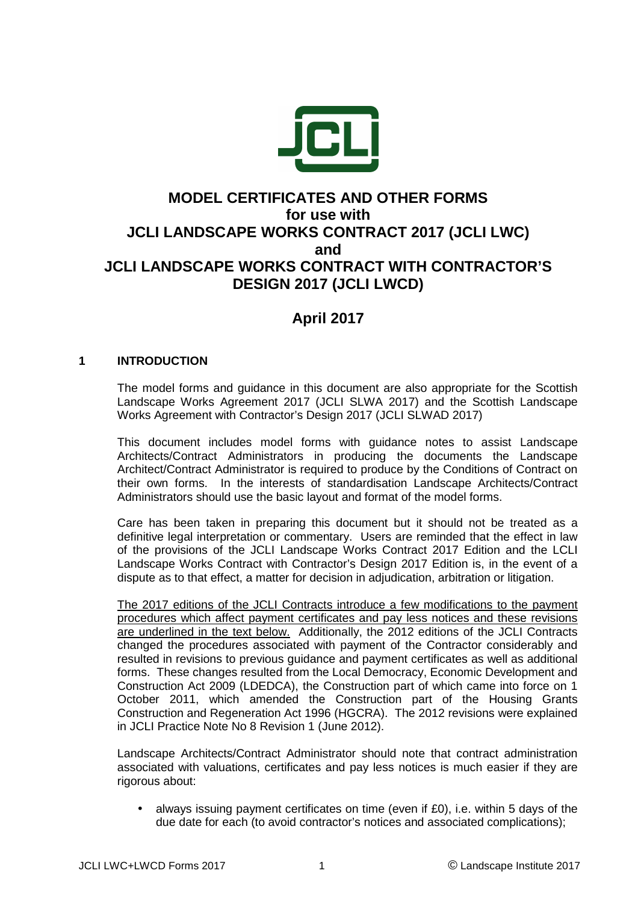

## **MODEL CERTIFICATES AND OTHER FORMS for use with JCLI LANDSCAPE WORKS CONTRACT 2017 (JCLI LWC) and JCLI LANDSCAPE WORKS CONTRACT WITH CONTRACTOR'S DESIGN 2017 (JCLI LWCD)**

## **April 2017**

#### **1 INTRODUCTION**

The model forms and guidance in this document are also appropriate for the Scottish Landscape Works Agreement 2017 (JCLI SLWA 2017) and the Scottish Landscape Works Agreement with Contractor's Design 2017 (JCLI SLWAD 2017)

This document includes model forms with guidance notes to assist Landscape Architects/Contract Administrators in producing the documents the Landscape Architect/Contract Administrator is required to produce by the Conditions of Contract on their own forms. In the interests of standardisation Landscape Architects/Contract Administrators should use the basic layout and format of the model forms.

Care has been taken in preparing this document but it should not be treated as a definitive legal interpretation or commentary. Users are reminded that the effect in law of the provisions of the JCLI Landscape Works Contract 2017 Edition and the LCLI Landscape Works Contract with Contractor's Design 2017 Edition is, in the event of a dispute as to that effect, a matter for decision in adjudication, arbitration or litigation.

 The 2017 editions of the JCLI Contracts introduce a few modifications to the payment procedures which affect payment certificates and pay less notices and these revisions are underlined in the text below. Additionally, the 2012 editions of the JCLI Contracts changed the procedures associated with payment of the Contractor considerably and resulted in revisions to previous guidance and payment certificates as well as additional forms. These changes resulted from the Local Democracy, Economic Development and Construction Act 2009 (LDEDCA), the Construction part of which came into force on 1 October 2011, which amended the Construction part of the Housing Grants Construction and Regeneration Act 1996 (HGCRA). The 2012 revisions were explained in JCLI Practice Note No 8 Revision 1 (June 2012).

 Landscape Architects/Contract Administrator should note that contract administration associated with valuations, certificates and pay less notices is much easier if they are rigorous about:

• always issuing payment certificates on time (even if £0), i.e. within 5 days of the due date for each (to avoid contractor's notices and associated complications);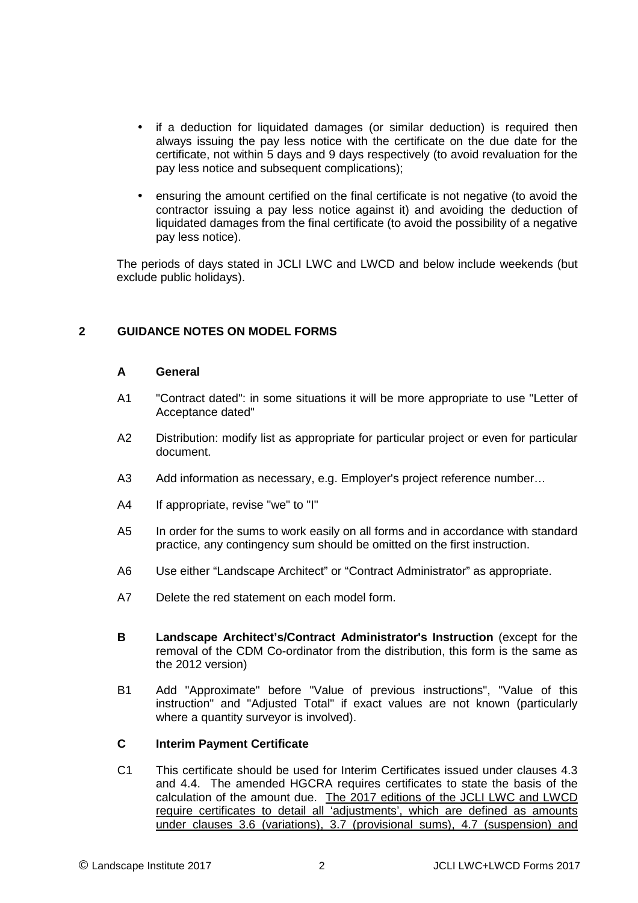- if a deduction for liquidated damages (or similar deduction) is required then always issuing the pay less notice with the certificate on the due date for the certificate, not within 5 days and 9 days respectively (to avoid revaluation for the pay less notice and subsequent complications);
- ensuring the amount certified on the final certificate is not negative (to avoid the contractor issuing a pay less notice against it) and avoiding the deduction of liquidated damages from the final certificate (to avoid the possibility of a negative pay less notice).

 The periods of days stated in JCLI LWC and LWCD and below include weekends (but exclude public holidays).

#### **2 GUIDANCE NOTES ON MODEL FORMS**

#### **A General**

- A1 "Contract dated": in some situations it will be more appropriate to use "Letter of Acceptance dated"
- A2 Distribution: modify list as appropriate for particular project or even for particular document.
- A3 Add information as necessary, e.g. Employer's project reference number...
- A4 If appropriate, revise "we" to "I"
- A5 In order for the sums to work easily on all forms and in accordance with standard practice, any contingency sum should be omitted on the first instruction.
- A6 Use either "Landscape Architect" or "Contract Administrator" as appropriate.
- A7 Delete the red statement on each model form.
- **B Landscape Architect's/Contract Administrator's Instruction** (except for the removal of the CDM Co-ordinator from the distribution, this form is the same as the 2012 version)
- B1 Add "Approximate" before "Value of previous instructions", "Value of this instruction" and "Adjusted Total" if exact values are not known (particularly where a quantity surveyor is involved).

#### **C Interim Payment Certificate**

C1 This certificate should be used for Interim Certificates issued under clauses 4.3 and 4.4. The amended HGCRA requires certificates to state the basis of the calculation of the amount due. The 2017 editions of the JCLI LWC and LWCD require certificates to detail all 'adjustments', which are defined as amounts under clauses 3.6 (variations), 3.7 (provisional sums), 4.7 (suspension) and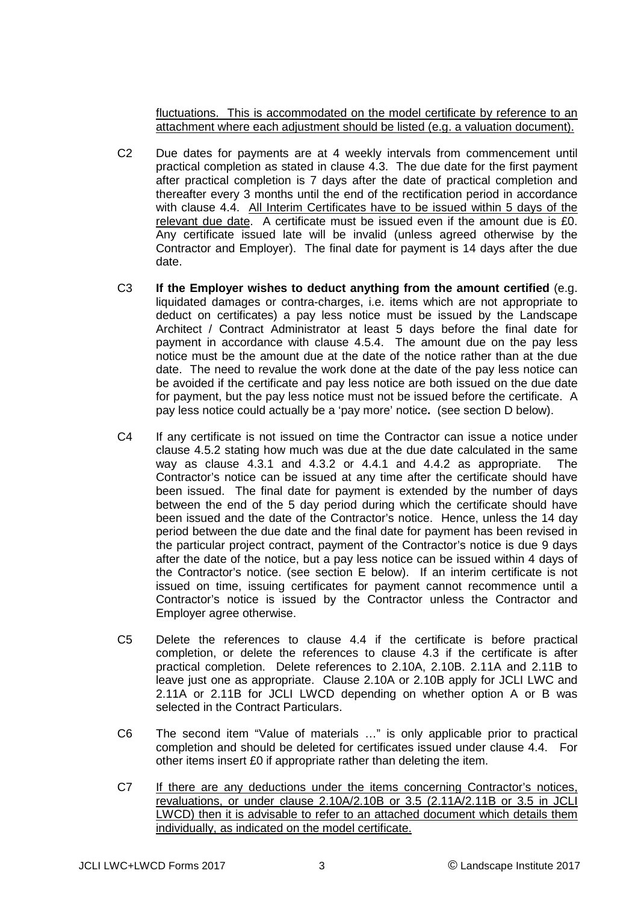fluctuations. This is accommodated on the model certificate by reference to an attachment where each adjustment should be listed (e.g. a valuation document).

- C2 Due dates for payments are at 4 weekly intervals from commencement until practical completion as stated in clause 4.3. The due date for the first payment after practical completion is 7 days after the date of practical completion and thereafter every 3 months until the end of the rectification period in accordance with clause 4.4. All Interim Certificates have to be issued within 5 days of the relevant due date. A certificate must be issued even if the amount due is £0. Any certificate issued late will be invalid (unless agreed otherwise by the Contractor and Employer). The final date for payment is 14 days after the due date.
- C3 **If the Employer wishes to deduct anything from the amount certified** (e.g. liquidated damages or contra-charges, i.e. items which are not appropriate to deduct on certificates) a pay less notice must be issued by the Landscape Architect / Contract Administrator at least 5 days before the final date for payment in accordance with clause 4.5.4. The amount due on the pay less notice must be the amount due at the date of the notice rather than at the due date. The need to revalue the work done at the date of the pay less notice can be avoided if the certificate and pay less notice are both issued on the due date for payment, but the pay less notice must not be issued before the certificate. A pay less notice could actually be a 'pay more' notice**.** (see section D below).
- C4 If any certificate is not issued on time the Contractor can issue a notice under clause 4.5.2 stating how much was due at the due date calculated in the same way as clause 4.3.1 and 4.3.2 or 4.4.1 and 4.4.2 as appropriate. The Contractor's notice can be issued at any time after the certificate should have been issued. The final date for payment is extended by the number of days between the end of the 5 day period during which the certificate should have been issued and the date of the Contractor's notice. Hence, unless the 14 day period between the due date and the final date for payment has been revised in the particular project contract, payment of the Contractor's notice is due 9 days after the date of the notice, but a pay less notice can be issued within 4 days of the Contractor's notice. (see section E below). If an interim certificate is not issued on time, issuing certificates for payment cannot recommence until a Contractor's notice is issued by the Contractor unless the Contractor and Employer agree otherwise.
- C5 Delete the references to clause 4.4 if the certificate is before practical completion, or delete the references to clause 4.3 if the certificate is after practical completion. Delete references to 2.10A, 2.10B. 2.11A and 2.11B to leave just one as appropriate. Clause 2.10A or 2.10B apply for JCLI LWC and 2.11A or 2.11B for JCLI LWCD depending on whether option A or B was selected in the Contract Particulars.
- C6 The second item "Value of materials …" is only applicable prior to practical completion and should be deleted for certificates issued under clause 4.4. For other items insert £0 if appropriate rather than deleting the item.
- C7 If there are any deductions under the items concerning Contractor's notices, revaluations, or under clause 2.10A/2.10B or 3.5 (2.11A/2.11B or 3.5 in JCLI LWCD) then it is advisable to refer to an attached document which details them individually, as indicated on the model certificate.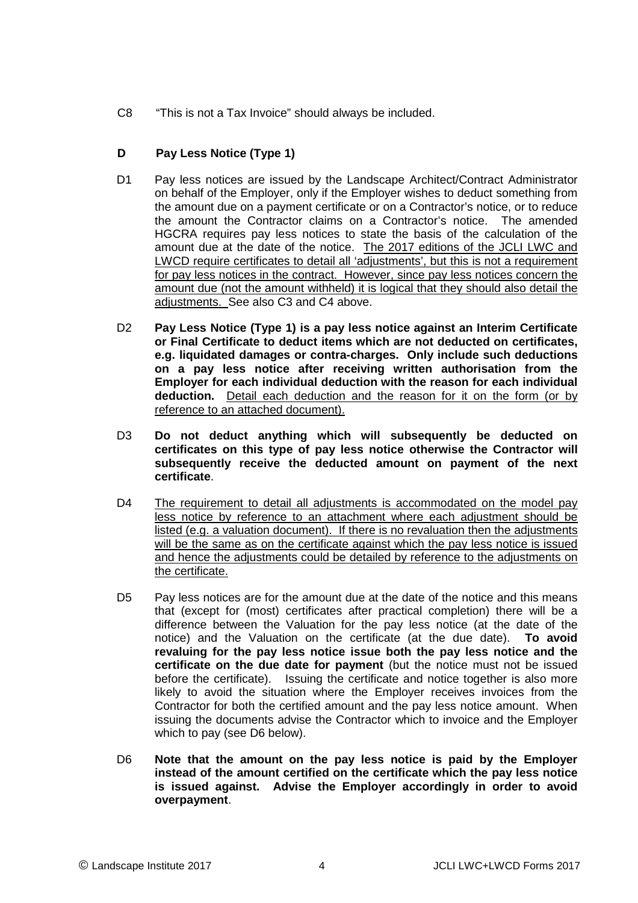C8 "This is not a Tax Invoice" should always be included.

#### **D Pay Less Notice (Type 1)**

- D1 Pay less notices are issued by the Landscape Architect/Contract Administrator on behalf of the Employer, only if the Employer wishes to deduct something from the amount due on a payment certificate or on a Contractor's notice, or to reduce the amount the Contractor claims on a Contractor's notice. The amended HGCRA requires pay less notices to state the basis of the calculation of the amount due at the date of the notice. The 2017 editions of the JCLI LWC and LWCD require certificates to detail all 'adjustments', but this is not a requirement for pay less notices in the contract. However, since pay less notices concern the amount due (not the amount withheld) it is logical that they should also detail the adjustments. See also C3 and C4 above.
- D2 **Pay Less Notice (Type 1) is a pay less notice against an Interim Certificate or Final Certificate to deduct items which are not deducted on certificates, e.g. liquidated damages or contra-charges. Only include such deductions on a pay less notice after receiving written authorisation from the Employer for each individual deduction with the reason for each individual deduction.** Detail each deduction and the reason for it on the form (or by reference to an attached document).
- D3 **Do not deduct anything which will subsequently be deducted on certificates on this type of pay less notice otherwise the Contractor will subsequently receive the deducted amount on payment of the next certificate**.
- D4 The requirement to detail all adjustments is accommodated on the model pay less notice by reference to an attachment where each adjustment should be listed (e.g. a valuation document). If there is no revaluation then the adjustments will be the same as on the certificate against which the pay less notice is issued and hence the adjustments could be detailed by reference to the adjustments on the certificate.
- D5 Pay less notices are for the amount due at the date of the notice and this means that (except for (most) certificates after practical completion) there will be a difference between the Valuation for the pay less notice (at the date of the notice) and the Valuation on the certificate (at the due date). **To avoid revaluing for the pay less notice issue both the pay less notice and the certificate on the due date for payment** (but the notice must not be issued before the certificate). Issuing the certificate and notice together is also more likely to avoid the situation where the Employer receives invoices from the Contractor for both the certified amount and the pay less notice amount. When issuing the documents advise the Contractor which to invoice and the Employer which to pay (see D6 below).
- D6 **Note that the amount on the pay less notice is paid by the Employer instead of the amount certified on the certificate which the pay less notice is issued against. Advise the Employer accordingly in order to avoid overpayment**.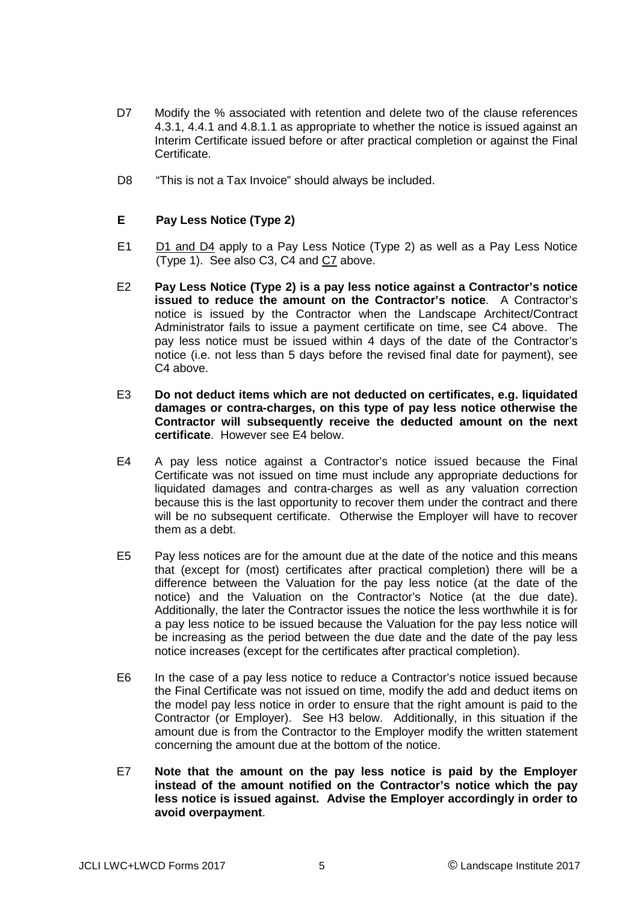- D7 Modify the % associated with retention and delete two of the clause references 4.3.1, 4.4.1 and 4.8.1.1 as appropriate to whether the notice is issued against an Interim Certificate issued before or after practical completion or against the Final Certificate.
- D8 "This is not a Tax Invoice" should always be included.

#### **E Pay Less Notice (Type 2)**

- E1 D1 and D4 apply to a Pay Less Notice (Type 2) as well as a Pay Less Notice (Type 1). See also C3, C4 and C7 above.
- E2 **Pay Less Notice (Type 2) is a pay less notice against a Contractor's notice issued to reduce the amount on the Contractor's notice**. A Contractor's notice is issued by the Contractor when the Landscape Architect/Contract Administrator fails to issue a payment certificate on time, see C4 above. The pay less notice must be issued within 4 days of the date of the Contractor's notice (i.e. not less than 5 days before the revised final date for payment), see C4 above.
- E3 **Do not deduct items which are not deducted on certificates, e.g. liquidated damages or contra-charges, on this type of pay less notice otherwise the Contractor will subsequently receive the deducted amount on the next certificate**. However see E4 below.
- E4 A pay less notice against a Contractor's notice issued because the Final Certificate was not issued on time must include any appropriate deductions for liquidated damages and contra-charges as well as any valuation correction because this is the last opportunity to recover them under the contract and there will be no subsequent certificate. Otherwise the Employer will have to recover them as a debt.
- E5 Pay less notices are for the amount due at the date of the notice and this means that (except for (most) certificates after practical completion) there will be a difference between the Valuation for the pay less notice (at the date of the notice) and the Valuation on the Contractor's Notice (at the due date). Additionally, the later the Contractor issues the notice the less worthwhile it is for a pay less notice to be issued because the Valuation for the pay less notice will be increasing as the period between the due date and the date of the pay less notice increases (except for the certificates after practical completion).
- E6 In the case of a pay less notice to reduce a Contractor's notice issued because the Final Certificate was not issued on time, modify the add and deduct items on the model pay less notice in order to ensure that the right amount is paid to the Contractor (or Employer). See H3 below. Additionally, in this situation if the amount due is from the Contractor to the Employer modify the written statement concerning the amount due at the bottom of the notice.
- E7 **Note that the amount on the pay less notice is paid by the Employer instead of the amount notified on the Contractor's notice which the pay less notice is issued against. Advise the Employer accordingly in order to avoid overpayment**.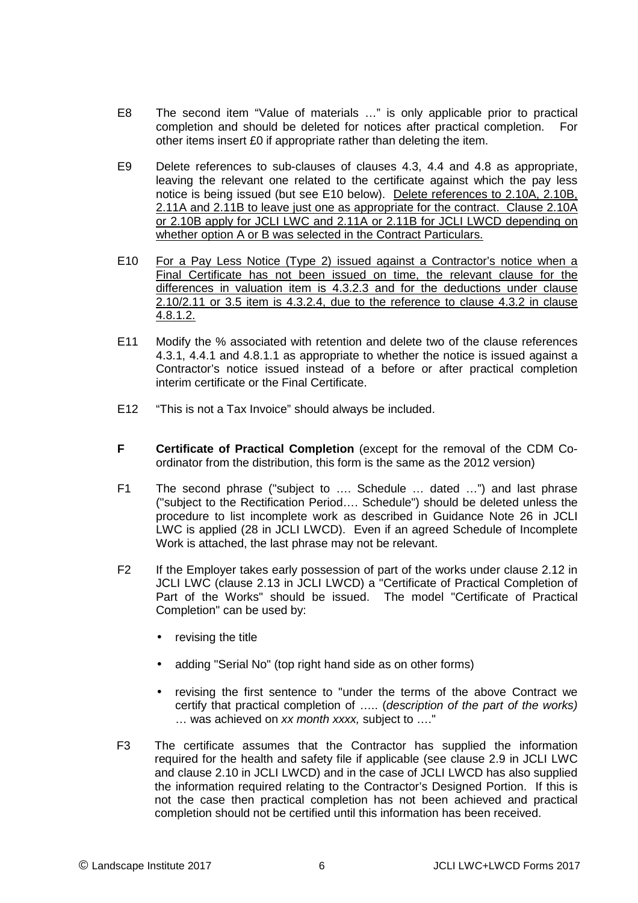- E8 The second item "Value of materials …" is only applicable prior to practical completion and should be deleted for notices after practical completion. For other items insert £0 if appropriate rather than deleting the item.
- E9 Delete references to sub-clauses of clauses 4.3, 4.4 and 4.8 as appropriate, leaving the relevant one related to the certificate against which the pay less notice is being issued (but see E10 below). Delete references to 2.10A, 2.10B, 2.11A and 2.11B to leave just one as appropriate for the contract. Clause 2.10A or 2.10B apply for JCLI LWC and 2.11A or 2.11B for JCLI LWCD depending on whether option A or B was selected in the Contract Particulars.
- E10 For a Pay Less Notice (Type 2) issued against a Contractor's notice when a Final Certificate has not been issued on time, the relevant clause for the differences in valuation item is 4.3.2.3 and for the deductions under clause 2.10/2.11 or 3.5 item is 4.3.2.4, due to the reference to clause 4.3.2 in clause 4.8.1.2.
- E11 Modify the % associated with retention and delete two of the clause references 4.3.1, 4.4.1 and 4.8.1.1 as appropriate to whether the notice is issued against a Contractor's notice issued instead of a before or after practical completion interim certificate or the Final Certificate.
- E12 "This is not a Tax Invoice" should always be included.
- **F Certificate of Practical Completion** (except for the removal of the CDM Coordinator from the distribution, this form is the same as the 2012 version)
- F1 The second phrase ("subject to …. Schedule … dated …") and last phrase ("subject to the Rectification Period…. Schedule") should be deleted unless the procedure to list incomplete work as described in Guidance Note 26 in JCLI LWC is applied (28 in JCLI LWCD). Even if an agreed Schedule of Incomplete Work is attached, the last phrase may not be relevant.
- F2 If the Employer takes early possession of part of the works under clause 2.12 in JCLI LWC (clause 2.13 in JCLI LWCD) a "Certificate of Practical Completion of Part of the Works" should be issued. The model "Certificate of Practical Completion" can be used by:
	- revising the title
	- adding "Serial No" (top right hand side as on other forms)
	- revising the first sentence to "under the terms of the above Contract we certify that practical completion of ….. (description of the part of the works) … was achieved on xx month xxxx, subject to …."
- F3 The certificate assumes that the Contractor has supplied the information required for the health and safety file if applicable (see clause 2.9 in JCLI LWC and clause 2.10 in JCLI LWCD) and in the case of JCLI LWCD has also supplied the information required relating to the Contractor's Designed Portion. If this is not the case then practical completion has not been achieved and practical completion should not be certified until this information has been received.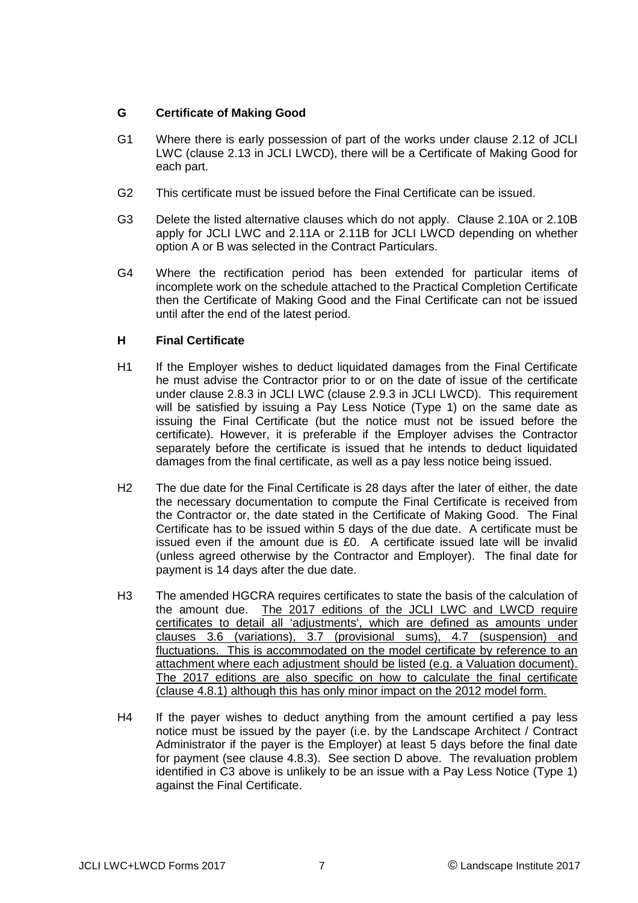#### **G Certificate of Making Good**

- G1 Where there is early possession of part of the works under clause 2.12 of JCLI LWC (clause 2.13 in JCLI LWCD), there will be a Certificate of Making Good for each part.
- G2 This certificate must be issued before the Final Certificate can be issued.
- G3 Delete the listed alternative clauses which do not apply. Clause 2.10A or 2.10B apply for JCLI LWC and 2.11A or 2.11B for JCLI LWCD depending on whether option A or B was selected in the Contract Particulars.
- G4 Where the rectification period has been extended for particular items of incomplete work on the schedule attached to the Practical Completion Certificate then the Certificate of Making Good and the Final Certificate can not be issued until after the end of the latest period.

#### **H Final Certificate**

- H1 If the Employer wishes to deduct liquidated damages from the Final Certificate he must advise the Contractor prior to or on the date of issue of the certificate under clause 2.8.3 in JCLI LWC (clause 2.9.3 in JCLI LWCD). This requirement will be satisfied by issuing a Pay Less Notice (Type 1) on the same date as issuing the Final Certificate (but the notice must not be issued before the certificate). However, it is preferable if the Employer advises the Contractor separately before the certificate is issued that he intends to deduct liquidated damages from the final certificate, as well as a pay less notice being issued.
- H2 The due date for the Final Certificate is 28 days after the later of either, the date the necessary documentation to compute the Final Certificate is received from the Contractor or, the date stated in the Certificate of Making Good. The Final Certificate has to be issued within 5 days of the due date. A certificate must be issued even if the amount due is £0. A certificate issued late will be invalid (unless agreed otherwise by the Contractor and Employer). The final date for payment is 14 days after the due date.
- H3 The amended HGCRA requires certificates to state the basis of the calculation of the amount due. The 2017 editions of the JCLI LWC and LWCD require certificates to detail all 'adjustments', which are defined as amounts under clauses 3.6 (variations), 3.7 (provisional sums), 4.7 (suspension) and fluctuations. This is accommodated on the model certificate by reference to an attachment where each adjustment should be listed (e.g. a Valuation document). The 2017 editions are also specific on how to calculate the final certificate (clause 4.8.1) although this has only minor impact on the 2012 model form.
- H4 If the payer wishes to deduct anything from the amount certified a pay less notice must be issued by the payer (i.e. by the Landscape Architect / Contract Administrator if the payer is the Employer) at least 5 days before the final date for payment (see clause 4.8.3). See section D above. The revaluation problem identified in C3 above is unlikely to be an issue with a Pay Less Notice (Type 1) against the Final Certificate.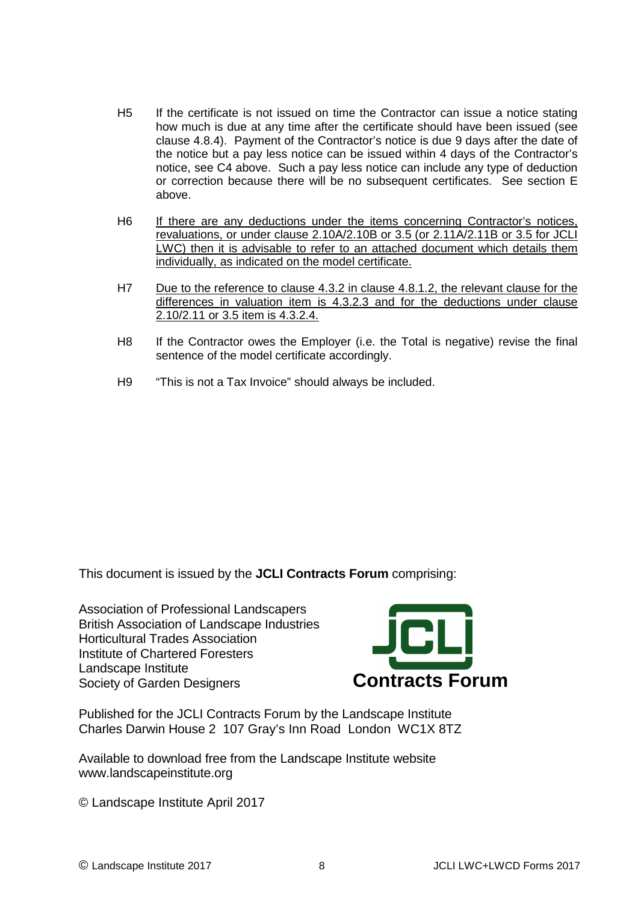- H5 If the certificate is not issued on time the Contractor can issue a notice stating how much is due at any time after the certificate should have been issued (see clause 4.8.4). Payment of the Contractor's notice is due 9 days after the date of the notice but a pay less notice can be issued within 4 days of the Contractor's notice, see C4 above. Such a pay less notice can include any type of deduction or correction because there will be no subsequent certificates. See section E above.
- H6 If there are any deductions under the items concerning Contractor's notices, revaluations, or under clause 2.10A/2.10B or 3.5 (or 2.11A/2.11B or 3.5 for JCLI LWC) then it is advisable to refer to an attached document which details them individually, as indicated on the model certificate.
- H7 Due to the reference to clause 4.3.2 in clause 4.8.1.2, the relevant clause for the differences in valuation item is 4.3.2.3 and for the deductions under clause 2.10/2.11 or 3.5 item is 4.3.2.4.
- H8 If the Contractor owes the Employer (i.e. the Total is negative) revise the final sentence of the model certificate accordingly.
- H9 "This is not a Tax Invoice" should always be included.

This document is issued by the **JCLI Contracts Forum** comprising:

Association of Professional Landscapers British Association of Landscape Industries Horticultural Trades Association Institute of Chartered Foresters Landscape Institute Society of Garden Designers **Contracts Forum**



Published for the JCLI Contracts Forum by the Landscape Institute Charles Darwin House 2 107 Gray's Inn Road London WC1X 8TZ

Available to download free from the Landscape Institute website www.landscapeinstitute.org

© Landscape Institute April 2017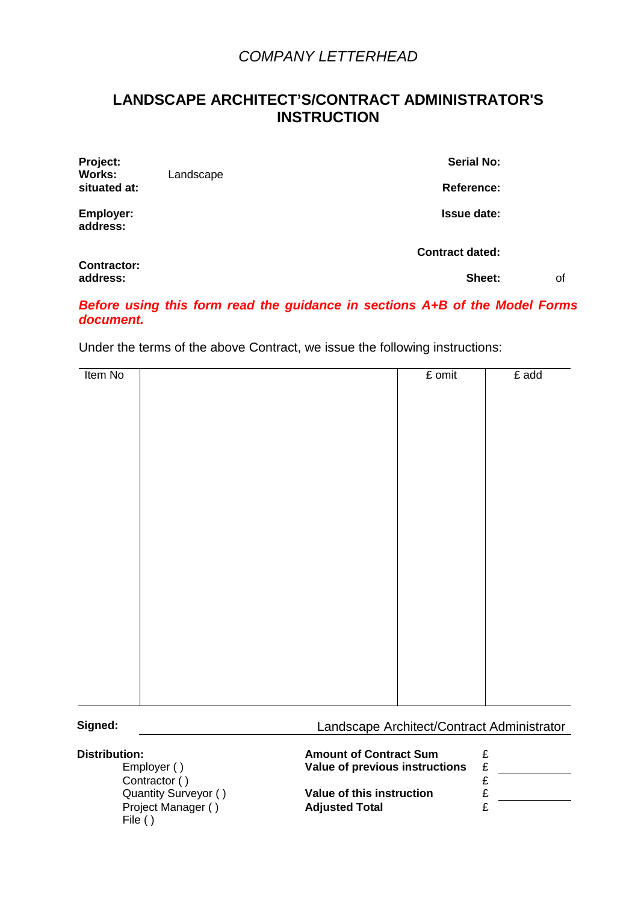## **LANDSCAPE ARCHITECT'S/CONTRACT ADMINISTRATOR'S INSTRUCTION**

| Project:<br><b>Works:</b>      | <b>Serial No:</b><br>Landscape |                        |    |
|--------------------------------|--------------------------------|------------------------|----|
| situated at:                   |                                | <b>Reference:</b>      |    |
| Employer:<br>address:          |                                | <b>Issue date:</b>     |    |
|                                |                                | <b>Contract dated:</b> |    |
| <b>Contractor:</b><br>address: |                                | Sheet:                 | οf |

#### **Before using this form read the guidance in sections A+B of the Model Forms document.**

Under the terms of the above Contract, we issue the following instructions:

| Item No | $E$ omit | £ add |
|---------|----------|-------|
|         |          |       |
|         |          |       |
|         |          |       |
|         |          |       |
|         |          |       |
|         |          |       |
|         |          |       |
|         |          |       |
|         |          |       |
|         |          |       |
|         |          |       |
|         |          |       |
|         |          |       |
|         |          |       |
|         |          |       |
|         |          |       |
|         |          |       |
|         |          |       |
|         |          |       |
|         |          |       |

#### **Signed:** Landscape Architect/Contract Administrator

| <b>Distribution:</b><br>Employer () | <b>Amount of Contract Sum</b><br><b>Value of previous instructions</b> | £ |  |
|-------------------------------------|------------------------------------------------------------------------|---|--|
| Contractor ()                       |                                                                        |   |  |
| Quantity Surveyor ()                | Value of this instruction                                              | £ |  |
| Project Manager (<br>File $()$      | <b>Adjusted Total</b>                                                  | c |  |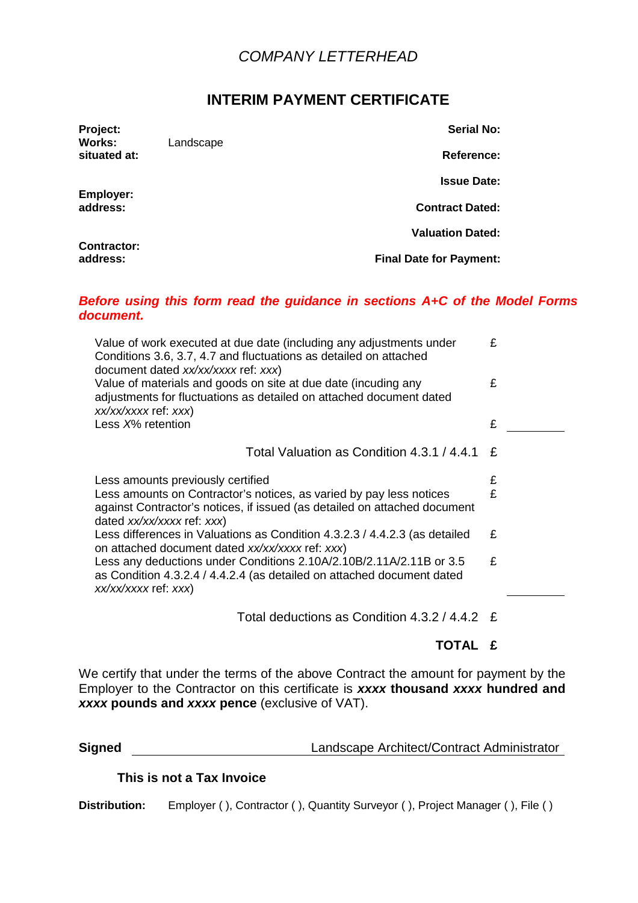## **INTERIM PAYMENT CERTIFICATE**

| Project:<br>Works:             | Landscape | <b>Serial No:</b>              |
|--------------------------------|-----------|--------------------------------|
| situated at:                   |           | <b>Reference:</b>              |
|                                |           | <b>Issue Date:</b>             |
| Employer:<br>address:          |           | <b>Contract Dated:</b>         |
|                                |           | <b>Valuation Dated:</b>        |
| <b>Contractor:</b><br>address: |           | <b>Final Date for Payment:</b> |

#### **Before using this form read the guidance in sections A+C of the Model Forms document.**

| Value of work executed at due date (including any adjustments under<br>Conditions 3.6, 3.7, 4.7 and fluctuations as detailed on attached<br>document dated xx/xx/xxxx ref: xxx) | £ |  |
|---------------------------------------------------------------------------------------------------------------------------------------------------------------------------------|---|--|
| Value of materials and goods on site at due date (incuding any<br>adjustments for fluctuations as detailed on attached document dated<br>xx/xx/xxxx ref: xxx)                   | £ |  |
| Less X% retention                                                                                                                                                               | £ |  |
|                                                                                                                                                                                 |   |  |
| Total Valuation as Condition 4.3.1 / 4.4.1                                                                                                                                      | £ |  |
| Less amounts previously certified                                                                                                                                               | £ |  |
| Less amounts on Contractor's notices, as varied by pay less notices<br>against Contractor's notices, if issued (as detailed on attached document<br>dated xx/xx/xxxx ref: xxx)  | £ |  |
| Less differences in Valuations as Condition 4.3.2.3 / 4.4.2.3 (as detailed<br>on attached document dated xx/xx/xxxx ref: xxx)                                                   | £ |  |
| Less any deductions under Conditions 2.10A/2.10B/2.11A/2.11B or 3.5<br>as Condition 4.3.2.4 / 4.4.2.4 (as detailed on attached document dated<br>xx/xx/xxxx ref: xxx)           | £ |  |
| Total deductions as Condition $4.3.2 / 4.4.2 E$                                                                                                                                 |   |  |

**TOTAL £** 

We certify that under the terms of the above Contract the amount for payment by the Employer to the Contractor on this certificate is **xxxx thousand xxxx hundred and xxxx pounds and xxxx pence** (exclusive of VAT).

| <b>Signed</b> | Landscape Architect/Contract Administrator |
|---------------|--------------------------------------------|
|               |                                            |

#### **This is not a Tax Invoice**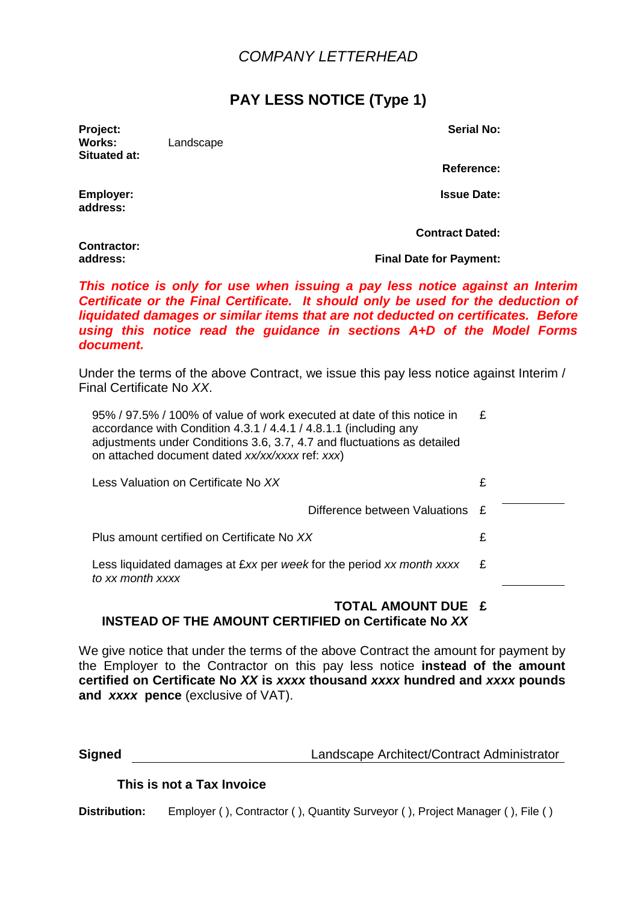## **PAY LESS NOTICE (Type 1)**

**Project: Serial No: Works:** Landscape **Situated at:** 

**Reference:**

**Employer:** Issue Date:

**address:** 

**Contract Dated:**

**Contractor:** 

**address: Final Date for Payment:**

**This notice is only for use when issuing a pay less notice against an Interim Certificate or the Final Certificate. It should only be used for the deduction of liquidated damages or similar items that are not deducted on certificates. Before using this notice read the guidance in sections A+D of the Model Forms document.** 

Under the terms of the above Contract, we issue this pay less notice against Interim / Final Certificate No XX.

| 95% / 97.5% / 100% of value of work executed at date of this notice in<br>accordance with Condition 4.3.1 / 4.4.1 / 4.8.1.1 (including any<br>adjustments under Conditions 3.6, 3.7, 4.7 and fluctuations as detailed<br>on attached document dated xx/xx/xxxx ref: xxx) | £ |
|--------------------------------------------------------------------------------------------------------------------------------------------------------------------------------------------------------------------------------------------------------------------------|---|
| Less Valuation on Certificate No XX                                                                                                                                                                                                                                      | £ |
| Difference between Valuations £                                                                                                                                                                                                                                          |   |
| Plus amount certified on Certificate No XX                                                                                                                                                                                                                               | £ |
| Less liquidated damages at £xx per week for the period xx month xxxx<br>to xx month xxxx                                                                                                                                                                                 | £ |

#### **TOTAL AMOUNT DUE £ INSTEAD OF THE AMOUNT CERTIFIED on Certificate No XX**

We give notice that under the terms of the above Contract the amount for payment by the Employer to the Contractor on this pay less notice **instead of the amount certified on Certificate No XX is xxxx thousand xxxx hundred and xxxx pounds and xxxx pence** (exclusive of VAT).

### **This is not a Tax Invoice**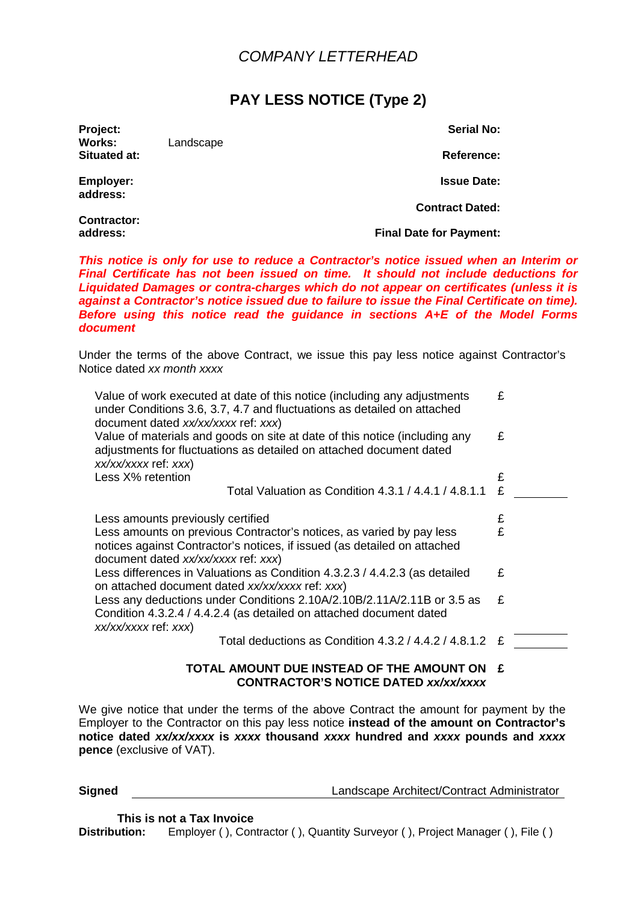## **PAY LESS NOTICE (Type 2)**

**Project: Serial No: Works:** Landscape **Situated at: Reference: Reference: Reference: Reference: Reference: Reference:** 

**address:** 

**Contractor:** 

**Employer: Issue Date:**

**Contract Dated:**

**address: Final Date for Payment:**

**This notice is only for use to reduce a Contractor's notice issued when an Interim or Final Certificate has not been issued on time. It should not include deductions for Liquidated Damages or contra-charges which do not appear on certificates (unless it is against a Contractor's notice issued due to failure to issue the Final Certificate on time). Before using this notice read the guidance in sections A+E of the Model Forms document** 

Under the terms of the above Contract, we issue this pay less notice against Contractor's Notice dated xx month xxxx

| Value of work executed at date of this notice (including any adjustments<br>under Conditions 3.6, 3.7, 4.7 and fluctuations as detailed on attached<br>document dated xx/xx/xxxx ref: xxx) | £ |  |
|--------------------------------------------------------------------------------------------------------------------------------------------------------------------------------------------|---|--|
| Value of materials and goods on site at date of this notice (including any<br>adjustments for fluctuations as detailed on attached document dated<br>xx/xx/xxxx ref: xxx)                  | £ |  |
| Less X% retention                                                                                                                                                                          | £ |  |
| Total Valuation as Condition 4.3.1 / 4.4.1 / 4.8.1.1                                                                                                                                       | £ |  |
| Less amounts previously certified                                                                                                                                                          | £ |  |
| Less amounts on previous Contractor's notices, as varied by pay less<br>notices against Contractor's notices, if issued (as detailed on attached<br>document dated xx/xx/xxxx ref: xxx)    | £ |  |
| Less differences in Valuations as Condition 4.3.2.3 / 4.4.2.3 (as detailed<br>on attached document dated xx/xx/xxxx ref: xxx)                                                              | £ |  |
| Less any deductions under Conditions 2.10A/2.10B/2.11A/2.11B or 3.5 as<br>Condition 4.3.2.4 / 4.4.2.4 (as detailed on attached document dated<br>xx/xx/xxxx ref: xxx)                      | £ |  |
| Total deductions as Condition 4.3.2 / 4.4.2 / 4.8.1.2                                                                                                                                      | £ |  |
| TOTAL AMOUNT DUE INSTEAD OF THE AMOUNT ON                                                                                                                                                  |   |  |

# **CONTRACTOR'S NOTICE DATED xx/xx/xxxx**

We give notice that under the terms of the above Contract the amount for payment by the Employer to the Contractor on this pay less notice **instead of the amount on Contractor's notice dated xx/xx/xxxx is xxxx thousand xxxx hundred and xxxx pounds and xxxx pence** (exclusive of VAT).

**Signed Contract Example 2018** Landscape Architect/Contract Administrator

 **This is not a Tax Invoice**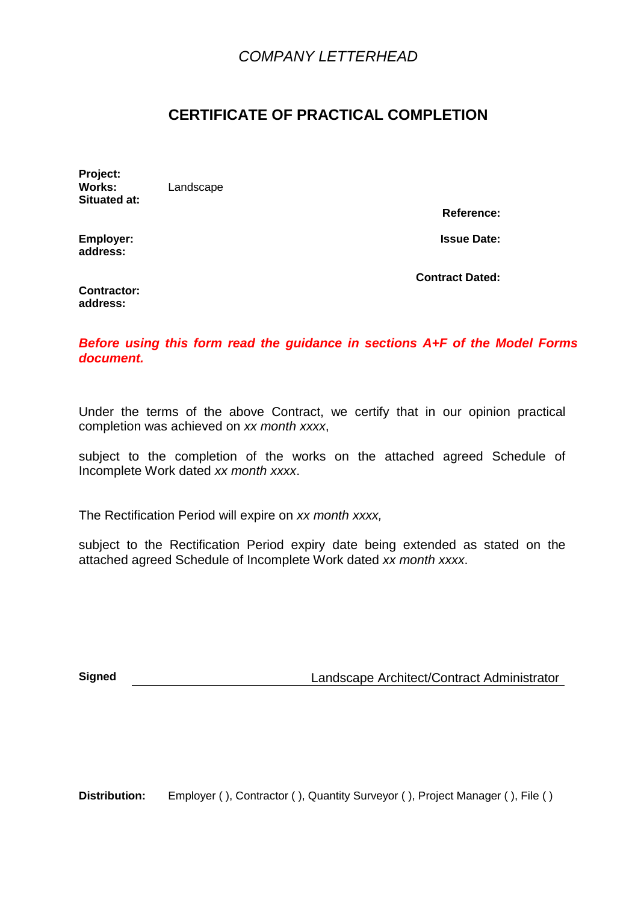## **CERTIFICATE OF PRACTICAL COMPLETION**

**Project: Works:** Landscape **Situated at:** 

**Reference:**

**Employer:** Issue Date: **address:** 

**Contract Dated:**

**Contractor: address:** 

**Before using this form read the guidance in sections A+F of the Model Forms document.** 

Under the terms of the above Contract, we certify that in our opinion practical completion was achieved on xx month xxxx,

subject to the completion of the works on the attached agreed Schedule of Incomplete Work dated xx month xxxx.

The Rectification Period will expire on xx month xxxx,

subject to the Rectification Period expiry date being extended as stated on the attached agreed Schedule of Incomplete Work dated xx month xxxx.

**Signed** Landscape Architect/Contract Administrator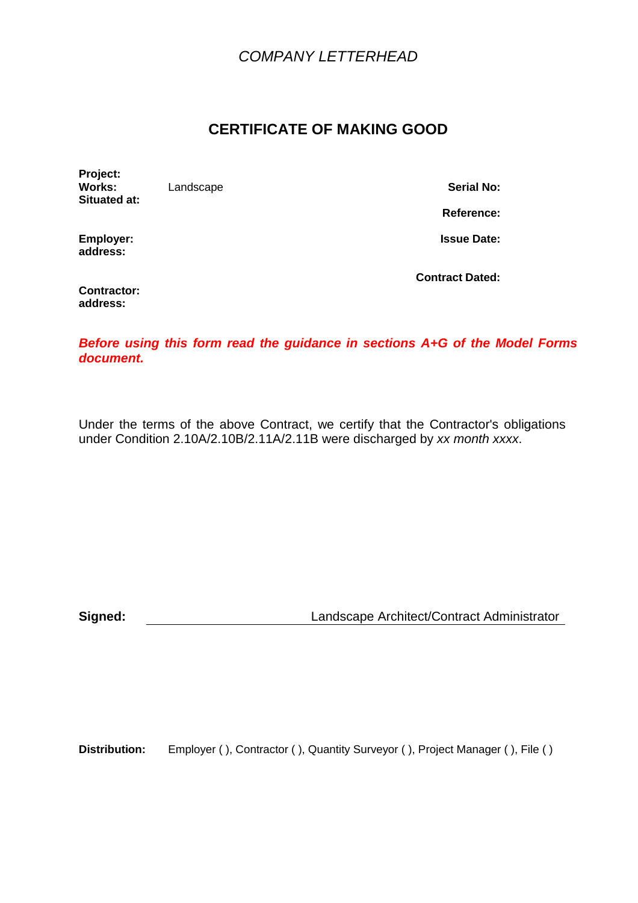## **CERTIFICATE OF MAKING GOOD**

**Project: Situated at:** 

**Landscape <b>Serial No: Serial No:** 

**Reference:**

**Employer:** Issue Date: **address:** 

**Contractor: address:** 

**Contract Dated:**

**Before using this form read the guidance in sections A+G of the Model Forms document.** 

Under the terms of the above Contract, we certify that the Contractor's obligations under Condition 2.10A/2.10B/2.11A/2.11B were discharged by xx month xxxx.

**Signed:** Landscape Architect/Contract Administrator